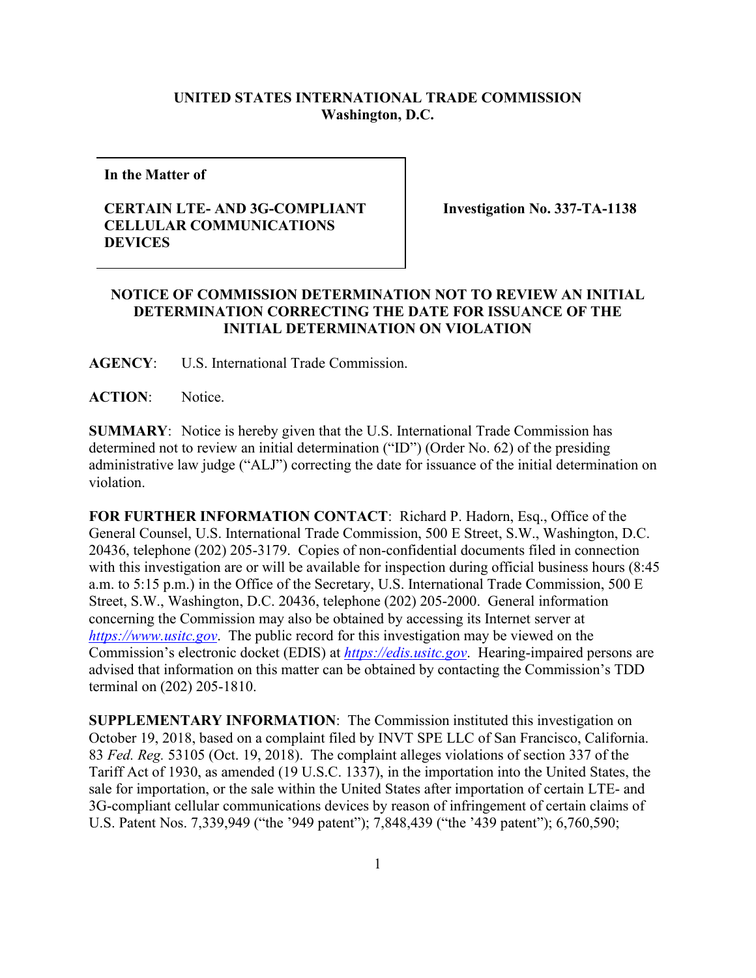## **UNITED STATES INTERNATIONAL TRADE COMMISSION Washington, D.C.**

**In the Matter of**

## **CERTAIN LTE- AND 3G-COMPLIANT CELLULAR COMMUNICATIONS DEVICES**

**Investigation No. 337-TA-1138**

## **NOTICE OF COMMISSION DETERMINATION NOT TO REVIEW AN INITIAL DETERMINATION CORRECTING THE DATE FOR ISSUANCE OF THE INITIAL DETERMINATION ON VIOLATION**

**AGENCY**: U.S. International Trade Commission.

**ACTION**: Notice.

**SUMMARY**: Notice is hereby given that the U.S. International Trade Commission has determined not to review an initial determination ("ID") (Order No. 62) of the presiding administrative law judge ("ALJ") correcting the date for issuance of the initial determination on violation.

**FOR FURTHER INFORMATION CONTACT**: Richard P. Hadorn, Esq., Office of the General Counsel, U.S. International Trade Commission, 500 E Street, S.W., Washington, D.C. 20436, telephone (202) 205-3179. Copies of non-confidential documents filed in connection with this investigation are or will be available for inspection during official business hours (8:45 a.m. to 5:15 p.m.) in the Office of the Secretary, U.S. International Trade Commission, 500 E Street, S.W., Washington, D.C. 20436, telephone (202) 205-2000. General information concerning the Commission may also be obtained by accessing its Internet server at *[https://www.usitc.gov](https://www.usitc.gov/)*. The public record for this investigation may be viewed on the Commission's electronic docket (EDIS) at *[https://edis.usitc.gov](https://edis.usitc.gov/)*. Hearing-impaired persons are advised that information on this matter can be obtained by contacting the Commission's TDD terminal on (202) 205-1810.

**SUPPLEMENTARY INFORMATION**: The Commission instituted this investigation on October 19, 2018, based on a complaint filed by INVT SPE LLC of San Francisco, California. 83 *Fed. Reg.* 53105 (Oct. 19, 2018). The complaint alleges violations of section 337 of the Tariff Act of 1930, as amended (19 U.S.C. 1337), in the importation into the United States, the sale for importation, or the sale within the United States after importation of certain LTE- and 3G-compliant cellular communications devices by reason of infringement of certain claims of U.S. Patent Nos. 7,339,949 ("the '949 patent"); 7,848,439 ("the '439 patent"); 6,760,590;